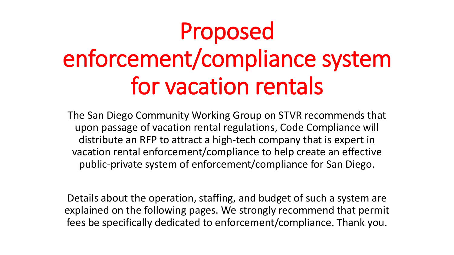# Proposed enforcement/compliance system for vacation rentals

The San Diego Community Working Group on STVR recommends that upon passage of vacation rental regulations, Code Compliance will distribute an RFP to attract a high-tech company that is expert in vacation rental enforcement/compliance to help create an effective public-private system of enforcement/compliance for San Diego.

Details about the operation, staffing, and budget of such a system are explained on the following pages. We strongly recommend that permit fees be specifically dedicated to enforcement/compliance. Thank you.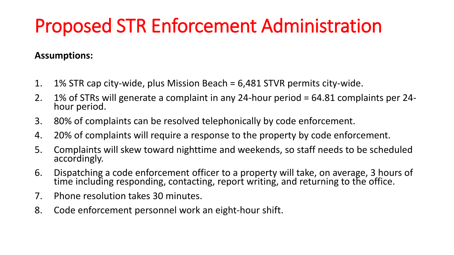## Proposed STR Enforcement Administration

### **Assumptions:**

- 1. 1% STR cap city-wide, plus Mission Beach = 6,481 STVR permits city-wide.
- 2. 1% of STRs will generate a complaint in any 24-hour period = 64.81 complaints per 24 hour period.
- 3. 80% of complaints can be resolved telephonically by code enforcement.
- 4. 20% of complaints will require a response to the property by code enforcement.
- 5. Complaints will skew toward nighttime and weekends, so staff needs to be scheduled accordingly.
- 6. Dispatching a code enforcement officer to a property will take, on average, 3 hours of time including responding, contacting, report writing, and returning to the office.
- 7. Phone resolution takes 30 minutes.
- 8. Code enforcement personnel work an eight-hour shift.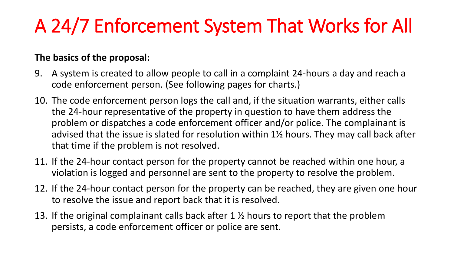## A 24/7 Enforcement System That Works for All

### **The basics of the proposal:**

- 9. A system is created to allow people to call in a complaint 24-hours a day and reach a code enforcement person. (See following pages for charts.)
- 10. The code enforcement person logs the call and, if the situation warrants, either calls the 24-hour representative of the property in question to have them address the problem or dispatches a code enforcement officer and/or police. The complainant is advised that the issue is slated for resolution within 1½ hours. They may call back after that time if the problem is not resolved.
- 11. If the 24-hour contact person for the property cannot be reached within one hour, a violation is logged and personnel are sent to the property to resolve the problem.
- 12. If the 24-hour contact person for the property can be reached, they are given one hour to resolve the issue and report back that it is resolved.
- 13. If the original complainant calls back after 1 ½ hours to report that the problem persists, a code enforcement officer or police are sent.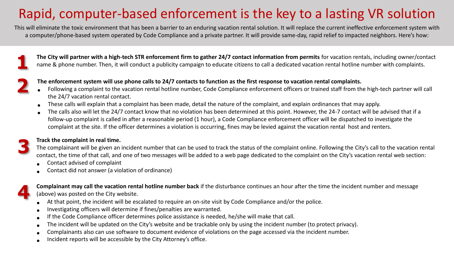### Rapid, computer-based enforcement is the key to a lasting VR solution

This will eliminate the toxic environment that has been a barrier to an enduring vacation rental solution. It will replace the current ineffective enforcement system with a computer/phone-based system operated by Code Compliance and a private partner. It will provide same-day, rapid relief to impacted neighbors. Here's how:

**The City will partner with a high-tech STR enforcement firm to gather 24/7 contact information from permits** for vacation rentals, including owner/contact name & phone number. Then, it will conduct a publicity campaign to educate citizens to call a dedicated vacation rental hotline number with complaints.



**3**

**4**

**1**

#### **The enforcement system will use phone calls to 24/7 contacts to function as the first response to vacation rental complaints.**

- Following a complaint to the vacation rental hotline number, Code Compliance enforcement officers or trained staff from the high-tech partner will call the 24/7 vacation rental contact.
- These calls will explain that a complaint has been made, detail the nature of the complaint, and explain ordinances that may apply.
- The calls also will let the 24/7 contact know that no violation has been determined at this point. However, the 24-7 contact will be advised that if a follow-up complaint is called in after a reasonable period (1 hour), a Code Compliance enforcement officer will be dispatched to investigate the complaint at the site. If the officer determines a violation is occurring, fines may be levied against the vacation rental host and renters.

#### **Track the complaint in real time.**

The complainant will be given an incident number that can be used to track the status of the complaint online. Following the City's call to the vacation rental contact, the time of that call, and one of two messages will be added to a web page dedicated to the complaint on the City's vacation rental web section:

- Contact advised of complaint
- Contact did not answer (a violation of ordinance)

**Complainant may call the vacation rental hotline number back** if the disturbance continues an hour after the time the incident number and message (above) was posted on the City website.

- At that point, the incident will be escalated to require an on-site visit by Code Compliance and/or the police.
- Investigating officers will determine if fines/penalties are warranted.
- If the Code Compliance officer determines police assistance is needed, he/she will make that call.
- The incident will be updated on the City's website and be trackable only by using the incident number (to protect privacy).
- Complainants also can use software to document evidence of violations on the page accessed via the incident number.
- Incident reports will be accessible by the City Attorney's office.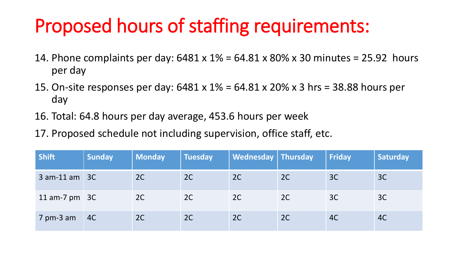## Proposed hours of staffing requirements:

- 14. Phone complaints per day: 6481 x 1% = 64.81 x 80% x 30 minutes = 25.92 hours per day
- 15. On-site responses per day: 6481 x 1% = 64.81 x 20% x 3 hrs = 38.88 hours per day
- 16. Total: 64.8 hours per day average, 453.6 hours per week
- 17. Proposed schedule not including supervision, office staff, etc.

| <b>Shift</b>      | <b>Sunday</b>  | <b>Monday</b> | <b>Tuesday</b> | Wednesday   Thursday |    | <b>Friday</b> | <b>Saturday</b> |
|-------------------|----------------|---------------|----------------|----------------------|----|---------------|-----------------|
| $3$ am-11 am $3C$ |                | 2C            | 2C             | 2C                   | 2C | 3C            | 3C              |
| 11 am-7 $pm$ 3C   |                | 2C            | 2C             | 2C                   | 2C | 3C            | 3C              |
| $7$ pm-3 am       | $\overline{4}$ | 2C            | 2C             | 2C                   | 2C | 4C            | 4C              |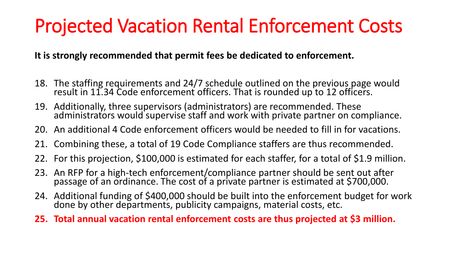## Projected Vacation Rental Enforcement Costs

**It is strongly recommended that permit fees be dedicated to enforcement.**

- 18. The staffing requirements and 24/7 schedule outlined on the previous page would result in 11.34 Code enforcement officers. That is rounded up to 12 officers.
- 19. Additionally, three supervisors (administrators) are recommended. These administrators would supervise staff and work with private partner on compliance.
- 20. An additional 4 Code enforcement officers would be needed to fill in for vacations.
- 21. Combining these, a total of 19 Code Compliance staffers are thus recommended.
- 22. For this projection, \$100,000 is estimated for each staffer, for a total of \$1.9 million.
- 23. An RFP for a high-tech enforcement/compliance partner should be sent out after passage of an ordinance. The cost of a private partner is estimated at \$700,000.
- 24. Additional funding of \$400,000 should be built into the enforcement budget for work done by other departments, publicity campaigns, material costs, etc.
- **25. Total annual vacation rental enforcement costs are thus projected at \$3 million.**